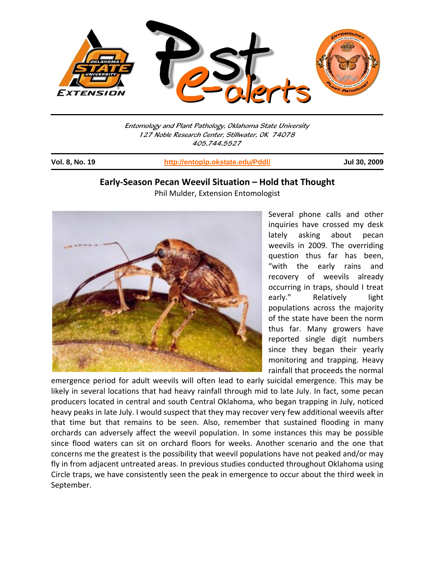

Entomology and Plant Pathology, Oklahoma State University 127 Noble Research Center, Stillwater, OK 74078 405.744.5527

j

**Vol. 8, No. 19 http://entoplp.okstate.edu/Pddl/ Jul 30, 2009**

# **Early‐Season Pecan Weevil Situation – Hold that Thought** Phil Mulder, Extension Entomologist



Several phone calls and other inquiries have crossed my desk lately asking about pecan weevils in 2009. The overriding question thus far has been, "with the early rains and recovery of weevils already occurring in traps, should I treat early." Relatively light populations across the majority of the state have been the norm thus far. Many growers have reported single digit numbers since they began their yearly monitoring and trapping. Heavy rainfall that proceeds the normal

emergence period for adult weevils will often lead to early suicidal emergence. This may be likely in several locations that had heavy rainfall through mid to late July. In fact, some pecan producers located in central and south Central Oklahoma, who began trapping in July, noticed heavy peaks in late July. I would suspect that they may recover very few additional weevils after that time but that remains to be seen. Also, remember that sustained flooding in many orchards can adversely affect the weevil population. In some instances this may be possible since flood waters can sit on orchard floors for weeks. Another scenario and the one that concerns me the greatest is the possibility that weevil populations have not peaked and/or may fly in from adjacent untreated areas. In previous studies conducted throughout Oklahoma using Circle traps, we have consistently seen the peak in emergence to occur about the third week in September.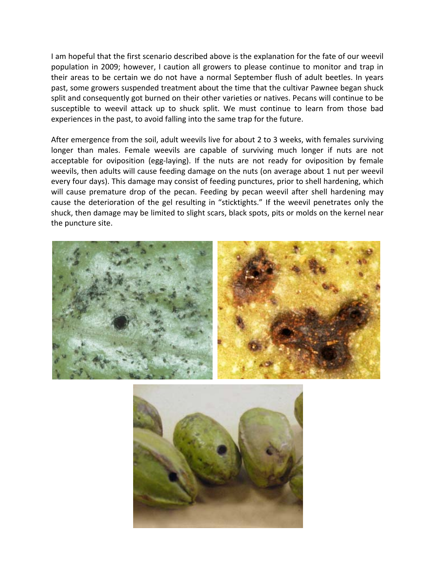I am hopeful that the first scenario described above is the explanation for the fate of our weevil population in 2009; however, I caution all growers to please continue to monitor and trap in their areas to be certain we do not have a normal September flush of adult beetles. In years past, some growers suspended treatment about the time that the cultivar Pawnee began shuck split and consequently got burned on their other varieties or natives. Pecans will continue to be susceptible to weevil attack up to shuck split. We must continue to learn from those bad experiences in the past, to avoid falling into the same trap for the future.

After emergence from the soil, adult weevils live for about 2 to 3 weeks, with females surviving longer than males. Female weevils are capable of surviving much longer if nuts are not acceptable for oviposition (egg-laying). If the nuts are not ready for oviposition by female weevils, then adults will cause feeding damage on the nuts (on average about 1 nut per weevil every four days). This damage may consist of feeding punctures, prior to shell hardening, which will cause premature drop of the pecan. Feeding by pecan weevil after shell hardening may cause the deterioration of the gel resulting in "sticktights." If the weevil penetrates only the shuck, then damage may be limited to slight scars, black spots, pits or molds on the kernel near the puncture site.



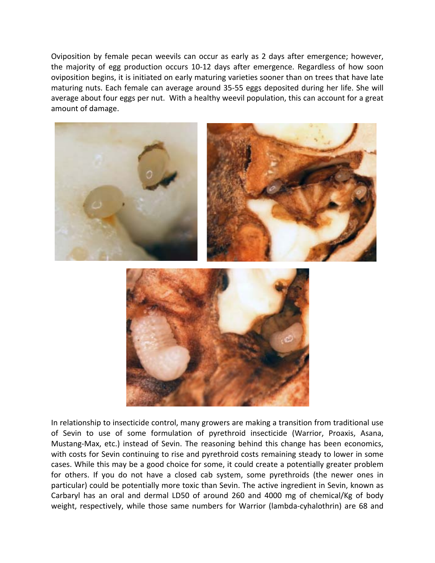Oviposition by female pecan weevils can occur as early as 2 days after emergence; however, the majority of egg production occurs 10‐12 days after emergence. Regardless of how soon oviposition begins, it is initiated on early maturing varieties sooner than on trees that have late maturing nuts. Each female can average around 35‐55 eggs deposited during her life. She will average about four eggs per nut. With a healthy weevil population, this can account for a great amount of damage.



In relationship to insecticide control, many growers are making a transition from traditional use of Sevin to use of some formulation of pyrethroid insecticide (Warrior, Proaxis, Asana, Mustang‐Max, etc.) instead of Sevin. The reasoning behind this change has been economics, with costs for Sevin continuing to rise and pyrethroid costs remaining steady to lower in some cases. While this may be a good choice for some, it could create a potentially greater problem for others. If you do not have a closed cab system, some pyrethroids (the newer ones in particular) could be potentially more toxic than Sevin. The active ingredient in Sevin, known as Carbaryl has an oral and dermal LD50 of around 260 and 4000 mg of chemical/Kg of body weight, respectively, while those same numbers for Warrior (lambda-cyhalothrin) are 68 and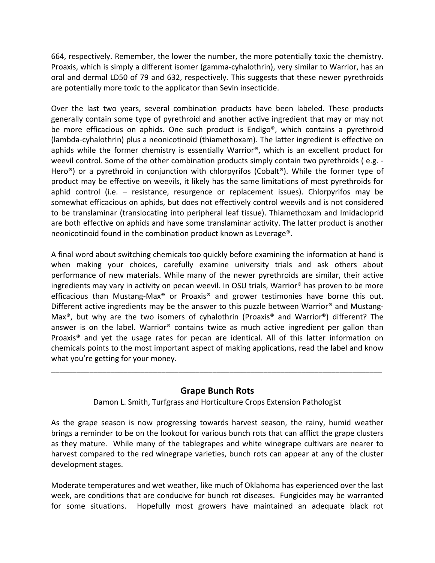664, respectively. Remember, the lower the number, the more potentially toxic the chemistry. Proaxis, which is simply a different isomer (gamma‐cyhalothrin), very similar to Warrior, has an oral and dermal LD50 of 79 and 632, respectively. This suggests that these newer pyrethroids are potentially more toxic to the applicator than Sevin insecticide.

Over the last two years, several combination products have been labeled. These products generally contain some type of pyrethroid and another active ingredient that may or may not be more efficacious on aphids. One such product is Endigo<sup>®</sup>, which contains a pyrethroid (lambda‐cyhalothrin) plus a neonicotinoid (thiamethoxam). The latter ingredient is effective on aphids while the former chemistry is essentially Warrior®, which is an excellent product for weevil control. Some of the other combination products simply contain two pyrethroids (e.g. -Hero<sup>®</sup>) or a pyrethroid in conjunction with chlorpyrifos (Cobalt<sup>®</sup>). While the former type of product may be effective on weevils, it likely has the same limitations of most pyrethroids for aphid control (i.e. – resistance, resurgence or replacement issues). Chlorpyrifos may be somewhat efficacious on aphids, but does not effectively control weevils and is not considered to be translaminar (translocating into peripheral leaf tissue). Thiamethoxam and Imidacloprid are both effective on aphids and have some translaminar activity. The latter product is another neonicotinoid found in the combination product known as Leverage®.

A final word about switching chemicals too quickly before examining the information at hand is when making your choices, carefully examine university trials and ask others about performance of new materials. While many of the newer pyrethroids are similar, their active ingredients may vary in activity on pecan weevil. In OSU trials, Warrior® has proven to be more efficacious than Mustang-Max<sup>®</sup> or Proaxis<sup>®</sup> and grower testimonies have borne this out. Different active ingredients may be the answer to this puzzle between Warrior® and Mustang-Max®, but why are the two isomers of cyhalothrin (Proaxis® and Warrior®) different? The answer is on the label. Warrior® contains twice as much active ingredient per gallon than Proaxis® and yet the usage rates for pecan are identical. All of this latter information on chemicals points to the most important aspect of making applications, read the label and know what you're getting for your money.

# **Grape Bunch Rots**

\_\_\_\_\_\_\_\_\_\_\_\_\_\_\_\_\_\_\_\_\_\_\_\_\_\_\_\_\_\_\_\_\_\_\_\_\_\_\_\_\_\_\_\_\_\_\_\_\_\_\_\_\_\_\_\_\_\_\_\_\_\_\_\_\_\_\_\_\_\_\_\_\_\_\_\_\_\_

Damon L. Smith, Turfgrass and Horticulture Crops Extension Pathologist

As the grape season is now progressing towards harvest season, the rainy, humid weather brings a reminder to be on the lookout for various bunch rots that can afflict the grape clusters as they mature. While many of the tablegrapes and white winegrape cultivars are nearer to harvest compared to the red winegrape varieties, bunch rots can appear at any of the cluster development stages.

Moderate temperatures and wet weather, like much of Oklahoma has experienced over the last week, are conditions that are conducive for bunch rot diseases. Fungicides may be warranted for some situations. Hopefully most growers have maintained an adequate black rot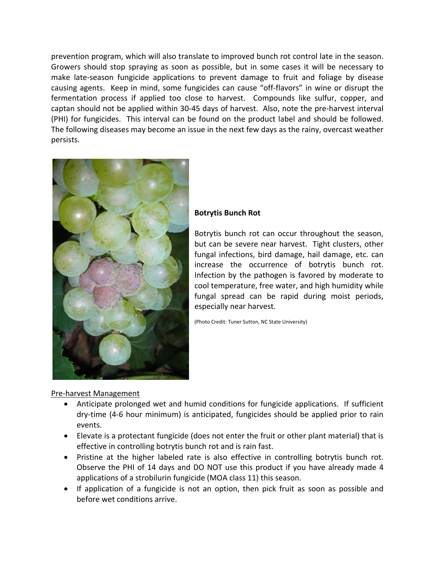prevention program, which will also translate to improved bunch rot control late in the season. Growers should stop spraying as soon as possible, but in some cases it will be necessary to make late‐season fungicide applications to prevent damage to fruit and foliage by disease causing agents. Keep in mind, some fungicides can cause "off‐flavors" in wine or disrupt the fermentation process if applied too close to harvest. Compounds like sulfur, copper, and captan should not be applied within 30‐45 days of harvest. Also, note the pre‐harvest interval (PHI) for fungicides. This interval can be found on the product label and should be followed. The following diseases may become an issue in the next few days as the rainy, overcast weather persists.



### **Botrytis Bunch Rot**

Botrytis bunch rot can occur throughout the season, but can be severe near harvest. Tight clusters, other fungal infections, bird damage, hail damage, etc. can increase the occurrence of botrytis bunch rot. Infection by the pathogen is favored by moderate to cool temperature, free water, and high humidity while fungal spread can be rapid during moist periods, especially near harvest.

(Photo Credit: Tuner Sutton, NC State University)

#### Pre‐harvest Management

- Anticipate prolonged wet and humid conditions for fungicide applications. If sufficient dry‐time (4‐6 hour minimum) is anticipated, fungicides should be applied prior to rain events.
- Elevate is a protectant fungicide (does not enter the fruit or other plant material) that is effective in controlling botrytis bunch rot and is rain fast.
- Pristine at the higher labeled rate is also effective in controlling botrytis bunch rot. Observe the PHI of 14 days and DO NOT use this product if you have already made 4 applications of a strobilurin fungicide (MOA class 11) this season.
- If application of a fungicide is not an option, then pick fruit as soon as possible and before wet conditions arrive.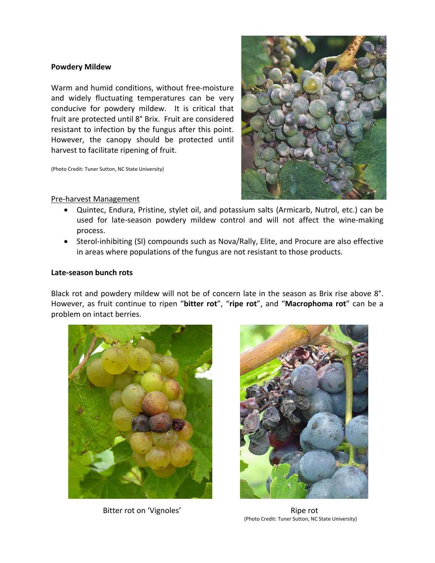#### **Powdery Mildew**

Warm and humid conditions, without free‐moisture and widely fluctuating temperatures can be very conducive for powdery mildew. It is critical that fruit are protected until 8° Brix. Fruit are considered resistant to infection by the fungus after this point. However, the canopy should be protected until harvest to facilitate ripening of fruit.

(Photo Credit: Tuner Sutton, NC State University)



### Pre‐harvest Management

- Quintec, Endura, Pristine, stylet oil, and potassium salts (Armicarb, Nutrol, etc.) can be used for late-season powdery mildew control and will not affect the wine-making process.
- Sterol-inhibiting (SI) compounds such as Nova/Rally, Elite, and Procure are also effective in areas where populations of the fungus are not resistant to those products.

#### **Late‐season bunch rots**

Black rot and powdery mildew will not be of concern late in the season as Brix rise above 8°. However, as fruit continue to ripen "**bitter rot**", "**ripe rot**", and "**Macrophoma rot**" can be a problem on intact berries.



Bitter rot on 'Vignoles' and the same of the Ripe rot



(Photo Credit: Tuner Sutton, NC State University)